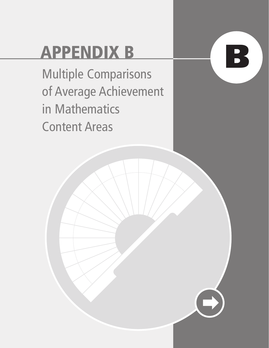## **APPENDIX B**

**B**

Multiple Comparisons of Average Achievement in Mathematics Content Areas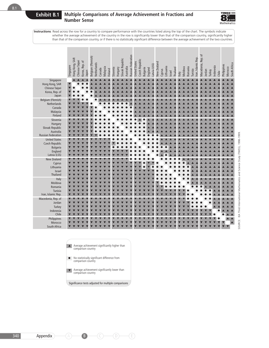

|                                                                                      | Hong Kong, SAR<br>Chinese Taipei<br>Singapore | Korea, Rep. of<br>Japan | Belgium (Flemish)<br>Netherlands<br>Canada | Malaysia<br>Finland | Slovak Republic<br>Slovenia<br>Hungary | Russian Federation<br>Australia | Czech Republic<br><b>United States</b> | Latvia (LSS)<br><b>Bulgaria</b><br>England | New Zealand<br>Cyprus | Lithuania<br>Thailand<br>Israel | Romania<br>Moldova<br>Italy | Macedonia, Rep. of<br>ran, Islamic Rep.<br>Tunisia | Indonesia<br>Jordan<br>Turkey<br>Chile | South Africa<br>Philippines<br>Morocco |
|--------------------------------------------------------------------------------------|-----------------------------------------------|-------------------------|--------------------------------------------|---------------------|----------------------------------------|---------------------------------|----------------------------------------|--------------------------------------------|-----------------------|---------------------------------|-----------------------------|----------------------------------------------------|----------------------------------------|----------------------------------------|
| Singapore<br>Hong Kong, SAR<br>Chinese Taipei<br>Korea, Rep. of<br>Japan             | $\overline{\mathbf{v}}$                       |                         |                                            |                     |                                        |                                 |                                        |                                            |                       |                                 |                             |                                                    |                                        |                                        |
| Belgium (Flemish)<br>Netherlands<br>Canada<br>Malaysia<br>Finland                    |                                               |                         |                                            |                     |                                        |                                 |                                        |                                            |                       |                                 |                             |                                                    |                                        |                                        |
| Slovenia<br>Hungary<br>Slovak Republic<br>Australia<br><b>Russian Federation</b>     |                                               |                         |                                            |                     |                                        |                                 |                                        |                                            |                       |                                 |                             |                                                    |                                        |                                        |
| <b>United States</b><br>Czech Republic<br><b>Bulgaria</b><br>England<br>Latvia (LSS) |                                               |                         |                                            |                     |                                        |                                 |                                        |                                            |                       |                                 |                             |                                                    |                                        |                                        |
| New Zealand<br>Cyprus<br>Lithuania<br>Israel<br>Thailand                             |                                               |                         |                                            |                     |                                        |                                 |                                        |                                            |                       |                                 |                             |                                                    |                                        |                                        |
| Italy<br>Moldova<br>Romania<br>Tunisia<br>Iran, Islamic Rep.                         |                                               |                         |                                            |                     |                                        |                                 |                                        |                                            |                       |                                 |                             |                                                    |                                        |                                        |
| Macedonia, Rep. of<br>Jordan<br>Turkey<br>Indonesia<br>Chile                         |                                               |                         |                                            |                     |                                        |                                 |                                        |                                            |                       |                                 |                             |                                                    |                                        |                                        |
| Philippines<br>Morocco<br>South Africa                                               |                                               |                         |                                            |                     |                                        |                                 |                                        |                                            |                       |                                 |                             |                                                    |                                        | $\blacktriangle$<br>$\blacktriangle$   |

SOURCE: IEA Third International Mathematics and Science Study (TIMSS), 1998-1999. SOURCE: IEA Third International Mathematics and Science Study (TIMSS), 1998-1999.

- Average achievement significantly higher than comparison country ▲
- No statistically significant difference from<br>
comparison country
- Average achievement significantly lower than comparison country ▼

Significance tests adjusted for multiple comparisons

B.1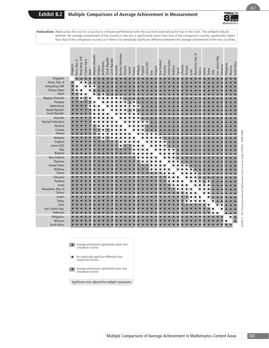

B.2

**Instructions**: Read across the row for a country to compare performance with the countries listed along the top of the chart. The symbols indicate whether the average achievement of the country in the row is significantly lower than that of the comparison country, significantly higher than that of the comparison country, or if there is no statistically significant difference between the average achievement of the two countries.

| Singapore<br>$\blacktriangle$<br>Korea, Rep. of<br>$\blacktriangledown$<br>Hong Kong, SAR<br>Chinese Taipei<br>Japan<br>Belgium (Flemish)<br>Hungary<br>Netherlands<br>Slovak Republic<br>Czech Republic<br>Australia<br><b>Russian Federation</b><br>Slovenia<br>Canada<br>Finland<br>Malaysia<br>England<br>Latvia (LSS)<br>Italy<br>Bulgaria<br>New Zealand<br>Romania<br><b>United States</b><br>Moldova<br>Cyprus<br>Lithuania<br>Thailand<br>Israel<br>Tunisia<br>Jordan<br>Turkey<br>Chile<br>Iran, Islamic Rep.<br>Indonesia<br>Philippines<br>$\blacktriangle$<br>Morocco<br>$\blacktriangle$<br>South Africa<br>▲ Average achievement significantly higher than<br>comparison country<br>No statistically significant difference from<br>comparison country<br>$\bullet$<br>Average achievement significantly lower than<br>comparison country<br>Significance tests adjusted for multiple comparisons |                    | Macedonia, Rep. of<br>Russian Federation<br>Belgium (Flemish)<br>Iran, Islamic Rep.<br>Hong Kong, SAR<br>Slovak Republic<br>Czech Republic<br>Korea, Rep. of<br>Chinese Taipei<br><b>United States</b><br>New Zealand<br>Netherlands<br>South Africa<br>Latvia (LSS)<br>Philippines<br>Singapore<br>Indonesia<br>Lithuania<br>Australia<br>Romania<br>Moldova<br>Morocco<br>Malaysia<br>Bulgaria<br>Slovenia<br>Thailand<br>Hungary<br>England<br>Cyprus<br>Canada<br>Tunisia<br>Finland<br>Jordan<br>Turkey<br>Japan<br>Israel<br>Chile<br>Italy |
|------------------------------------------------------------------------------------------------------------------------------------------------------------------------------------------------------------------------------------------------------------------------------------------------------------------------------------------------------------------------------------------------------------------------------------------------------------------------------------------------------------------------------------------------------------------------------------------------------------------------------------------------------------------------------------------------------------------------------------------------------------------------------------------------------------------------------------------------------------------------------------------------------------------|--------------------|---------------------------------------------------------------------------------------------------------------------------------------------------------------------------------------------------------------------------------------------------------------------------------------------------------------------------------------------------------------------------------------------------------------------------------------------------------------------------------------------------------------------------------------------------|
|                                                                                                                                                                                                                                                                                                                                                                                                                                                                                                                                                                                                                                                                                                                                                                                                                                                                                                                  |                    |                                                                                                                                                                                                                                                                                                                                                                                                                                                                                                                                                   |
| SOURCE: IEA Third International Mathematics and Science Study (TIMSS), 1998-1999.                                                                                                                                                                                                                                                                                                                                                                                                                                                                                                                                                                                                                                                                                                                                                                                                                                |                    |                                                                                                                                                                                                                                                                                                                                                                                                                                                                                                                                                   |
|                                                                                                                                                                                                                                                                                                                                                                                                                                                                                                                                                                                                                                                                                                                                                                                                                                                                                                                  |                    |                                                                                                                                                                                                                                                                                                                                                                                                                                                                                                                                                   |
|                                                                                                                                                                                                                                                                                                                                                                                                                                                                                                                                                                                                                                                                                                                                                                                                                                                                                                                  |                    |                                                                                                                                                                                                                                                                                                                                                                                                                                                                                                                                                   |
|                                                                                                                                                                                                                                                                                                                                                                                                                                                                                                                                                                                                                                                                                                                                                                                                                                                                                                                  |                    |                                                                                                                                                                                                                                                                                                                                                                                                                                                                                                                                                   |
|                                                                                                                                                                                                                                                                                                                                                                                                                                                                                                                                                                                                                                                                                                                                                                                                                                                                                                                  | Macedonia, Rep. of |                                                                                                                                                                                                                                                                                                                                                                                                                                                                                                                                                   |
|                                                                                                                                                                                                                                                                                                                                                                                                                                                                                                                                                                                                                                                                                                                                                                                                                                                                                                                  |                    |                                                                                                                                                                                                                                                                                                                                                                                                                                                                                                                                                   |
|                                                                                                                                                                                                                                                                                                                                                                                                                                                                                                                                                                                                                                                                                                                                                                                                                                                                                                                  |                    |                                                                                                                                                                                                                                                                                                                                                                                                                                                                                                                                                   |
|                                                                                                                                                                                                                                                                                                                                                                                                                                                                                                                                                                                                                                                                                                                                                                                                                                                                                                                  |                    |                                                                                                                                                                                                                                                                                                                                                                                                                                                                                                                                                   |
|                                                                                                                                                                                                                                                                                                                                                                                                                                                                                                                                                                                                                                                                                                                                                                                                                                                                                                                  |                    |                                                                                                                                                                                                                                                                                                                                                                                                                                                                                                                                                   |
|                                                                                                                                                                                                                                                                                                                                                                                                                                                                                                                                                                                                                                                                                                                                                                                                                                                                                                                  |                    |                                                                                                                                                                                                                                                                                                                                                                                                                                                                                                                                                   |



- No statistically significant difference from comparison country
- Average achievement significantly lower than comparison country ▼

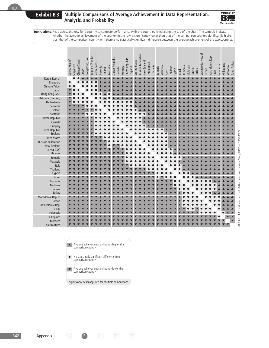

|                             | Korea, Rep. of | Singapore | Chinese Taipei | Iapan | Hong Kong, SAR | Belgium (Flemish) | Vetherlands | Slovenia | Finland | Australia | Slovak Republic | Canada | <b>Hungary</b> | Czech Republic | England | <b>Jnited States</b> | Russian Federation | <b>Jew Zealand</b> | .atvia (LSS) | Lithuania | <b>Bulgaria</b> | Malaysia | taly | Thailand<br>Cyprus | Israel | Romania | Moldova | Tunisia | Turkey | Macedonia, Rep. of | Jordan | Iran, Islamic Rep. | Chile | Indonesia | Philippines | Morocco | South Africa |
|-----------------------------|----------------|-----------|----------------|-------|----------------|-------------------|-------------|----------|---------|-----------|-----------------|--------|----------------|----------------|---------|----------------------|--------------------|--------------------|--------------|-----------|-----------------|----------|------|--------------------|--------|---------|---------|---------|--------|--------------------|--------|--------------------|-------|-----------|-------------|---------|--------------|
| Korea, Rep. of              |                |           |                |       |                |                   |             |          |         |           |                 |        |                |                |         |                      |                    |                    |              |           |                 |          |      |                    |        |         |         |         |        |                    |        |                    |       |           |             |         |              |
| Singapore                   |                |           |                |       |                |                   |             |          |         |           |                 |        |                |                |         |                      |                    |                    |              |           |                 |          |      |                    |        |         |         |         |        |                    |        |                    |       |           |             |         |              |
| Chinese Taipei<br>Japan     |                |           |                |       |                |                   |             |          |         |           |                 |        |                |                |         |                      |                    |                    |              |           |                 |          |      |                    |        |         |         |         |        |                    |        |                    |       |           |             |         |              |
| Hong Kong, SAR              |                |           |                |       |                |                   |             |          |         |           |                 |        |                |                |         |                      |                    |                    |              |           |                 |          |      |                    |        |         |         |         |        |                    |        |                    |       |           |             |         |              |
| Belgium (Flemish)           |                |           |                |       |                |                   |             |          |         |           |                 |        |                |                |         |                      |                    |                    |              |           |                 |          |      |                    |        |         |         |         |        |                    |        |                    |       |           |             |         |              |
| Netherlands                 |                |           |                |       |                |                   |             |          |         |           |                 |        |                |                |         |                      |                    |                    |              |           |                 |          |      |                    |        |         |         |         |        |                    |        |                    |       |           |             |         |              |
| Slovenia                    |                |           |                |       |                |                   |             |          |         |           |                 |        |                |                |         |                      |                    |                    |              |           |                 |          |      |                    |        |         |         |         |        |                    |        |                    |       |           |             |         |              |
| Finland<br>Australia        |                |           |                |       |                |                   |             |          |         |           |                 |        |                |                |         |                      |                    |                    |              |           |                 |          |      |                    |        |         |         |         |        |                    |        |                    |       |           |             |         |              |
| Slovak Republic             |                |           |                |       |                |                   |             |          |         |           |                 |        |                |                |         |                      |                    |                    |              |           |                 |          |      |                    |        |         |         |         |        |                    |        |                    |       |           |             |         |              |
| Canada                      |                |           |                |       |                |                   |             |          |         |           |                 |        |                |                |         |                      |                    |                    |              |           |                 |          |      |                    |        |         |         |         |        |                    |        |                    |       |           |             |         |              |
| Hungary                     |                |           |                |       |                |                   |             |          |         |           |                 |        |                |                |         |                      |                    |                    |              |           |                 |          |      |                    |        |         |         |         |        |                    |        |                    |       |           |             |         |              |
| Czech Republic              |                |           |                |       |                |                   |             |          |         |           |                 |        |                |                |         |                      |                    |                    |              |           |                 |          |      |                    |        |         |         |         |        |                    |        |                    |       |           |             |         |              |
| England                     |                |           |                |       |                |                   |             |          |         |           |                 |        |                |                |         |                      |                    |                    |              |           |                 |          |      |                    |        |         |         |         |        |                    |        |                    |       |           |             |         |              |
| <b>United States</b>        |                |           |                |       |                |                   |             |          |         |           |                 |        |                |                |         |                      |                    |                    |              |           |                 |          |      |                    |        |         |         |         |        |                    |        |                    |       |           |             |         |              |
| <b>Russian Federation</b>   |                |           |                |       |                |                   |             |          |         |           |                 |        |                |                |         |                      |                    |                    |              |           |                 |          |      |                    |        |         |         |         |        |                    |        |                    |       |           |             |         |              |
| New Zealand<br>Latvia (LSS) |                |           |                |       |                |                   |             |          |         |           |                 |        |                |                |         |                      |                    |                    |              |           |                 |          |      |                    |        |         |         |         |        |                    |        |                    |       |           |             |         |              |
| Lithuania                   |                |           |                |       |                |                   |             |          |         |           |                 |        |                |                |         |                      |                    |                    |              |           |                 |          |      |                    |        |         |         |         |        |                    |        |                    |       |           |             |         |              |
| <b>Bulgaria</b>             |                |           |                |       |                |                   |             |          |         |           |                 |        |                |                |         |                      |                    |                    |              |           |                 |          |      |                    |        |         |         |         |        |                    |        |                    |       |           |             |         |              |
| Malaysia                    |                |           |                |       |                |                   |             |          |         |           |                 |        |                |                |         |                      |                    |                    |              |           |                 |          |      |                    |        |         |         |         |        |                    |        |                    |       |           |             |         |              |
| Italy                       |                |           |                |       |                |                   |             |          |         |           |                 |        |                |                |         |                      |                    |                    |              |           |                 |          |      |                    |        |         |         |         |        |                    |        |                    |       |           |             |         |              |
| Thailand                    |                |           |                |       |                |                   |             |          |         |           |                 |        |                |                |         |                      |                    |                    |              |           |                 |          |      |                    |        |         |         |         |        |                    |        |                    |       |           |             |         |              |
| Cyprus                      |                |           |                |       |                |                   |             |          |         |           |                 |        |                |                |         |                      |                    |                    |              |           |                 |          |      |                    |        |         |         |         |        |                    |        |                    |       |           |             |         |              |
| Israel<br>Romania           |                |           |                |       |                |                   |             |          |         |           |                 |        |                |                |         |                      |                    |                    |              |           |                 |          |      |                    |        |         |         |         |        |                    |        |                    |       |           |             |         |              |
| Moldova                     |                |           |                |       |                |                   |             |          |         |           |                 |        |                |                |         |                      |                    |                    |              |           |                 |          |      |                    |        |         |         |         |        |                    |        |                    |       |           |             |         |              |
| Tunisia                     |                |           |                |       |                |                   |             |          |         |           |                 |        |                |                |         |                      |                    |                    |              |           |                 |          |      |                    |        |         |         |         |        |                    |        |                    |       |           |             |         |              |
| Turkey                      |                |           |                |       |                |                   |             |          |         |           |                 |        |                |                |         |                      |                    |                    |              |           |                 |          |      |                    |        |         |         |         |        |                    |        |                    |       |           |             |         |              |
| Macedonia, Rep. of          |                |           |                |       |                |                   |             |          |         |           |                 |        |                |                |         |                      |                    |                    |              |           |                 |          |      |                    |        |         |         |         |        |                    |        |                    |       |           |             |         |              |
| Jordan                      |                |           |                |       |                |                   |             |          |         |           |                 |        |                |                |         |                      |                    |                    |              |           |                 |          |      |                    |        |         |         |         |        |                    |        |                    |       |           |             |         |              |
| Iran, Islamic Rep.          |                |           |                |       |                |                   |             |          |         |           |                 |        |                |                |         |                      |                    |                    |              |           |                 |          |      |                    |        |         |         |         |        |                    |        |                    |       |           |             |         |              |
| Chile<br>Indonesia          |                |           |                |       |                |                   |             |          |         |           |                 |        |                |                |         |                      |                    |                    |              |           |                 |          |      |                    |        |         |         |         |        |                    |        |                    |       |           |             |         |              |
| Philippines                 |                |           |                |       |                |                   |             |          |         |           |                 |        |                |                |         |                      |                    |                    |              |           |                 |          |      |                    |        |         |         |         |        |                    |        |                    |       |           |             |         |              |
| Morocco                     |                |           |                |       |                |                   |             |          |         |           |                 |        |                |                |         |                      |                    |                    |              |           |                 |          |      |                    |        |         |         |         |        |                    |        |                    |       |           |             |         |              |
| South Africa                |                |           |                |       |                |                   |             |          |         |           |                 |        |                |                |         |                      |                    |                    |              |           |                 |          |      |                    |        |         |         |         |        |                    |        |                    |       |           |             |         |              |

Average achievement significantly higher than comparison country ▲

- No statistically significant difference from comparison country
- Average achievement significantly lower than comparison country ▼

Significance tests adjusted for multiple comparisons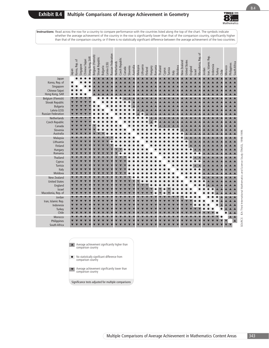

|                                 | Iapan | Korea, Rep. of | Singapore | Chinese Taipei | Hong Kong, SAR | Belgium (Flemish) | Slovak Republic | Bulgaria | Latvia (LSS) | Russian Federation | Netherlands | Czech Republic | Canada | Slovenia | Australia | Malaysia | Lithuania | Finland | <b>Hungary</b> | Romania | <b>Thailand</b> | Cyprus | Tunisia | Italy | Moldova | New Zealand | <b>United States</b> | England | <b>Israel</b> | Macedonia, Rep. of | Jordan | Iran, Islamic Rep. | Indonesia | Turkey | Chile | Morocco | Philippines | South Africa     |
|---------------------------------|-------|----------------|-----------|----------------|----------------|-------------------|-----------------|----------|--------------|--------------------|-------------|----------------|--------|----------|-----------|----------|-----------|---------|----------------|---------|-----------------|--------|---------|-------|---------|-------------|----------------------|---------|---------------|--------------------|--------|--------------------|-----------|--------|-------|---------|-------------|------------------|
| Japan                           |       |                |           |                |                |                   |                 |          |              |                    |             |                |        |          |           |          |           |         |                |         |                 |        |         |       |         |             |                      |         |               |                    |        |                    |           |        |       |         |             |                  |
| Korea, Rep. of                  |       |                |           |                |                |                   |                 |          |              |                    |             |                |        |          |           |          |           |         |                |         |                 |        |         |       |         |             |                      |         |               |                    |        |                    |           |        |       |         |             |                  |
| Singapore<br>Chinese Taipei     |       |                |           |                |                |                   |                 |          |              |                    |             |                |        |          |           |          |           |         |                |         |                 |        |         |       |         |             |                      |         |               |                    |        |                    |           |        |       |         |             |                  |
| Hong Kong, SAR                  |       |                |           |                |                |                   |                 |          |              |                    |             |                |        |          |           |          |           |         |                |         |                 |        |         |       |         |             |                      |         |               |                    |        |                    |           |        |       |         |             |                  |
| Belgium (Flemish)               |       |                |           |                |                |                   |                 |          |              |                    |             |                |        |          |           |          |           |         |                |         |                 |        |         |       |         |             |                      |         |               |                    |        |                    |           |        |       |         |             |                  |
| Slovak Republic                 |       |                |           |                |                |                   |                 |          |              |                    |             |                |        |          |           |          |           |         |                |         |                 |        |         |       |         |             |                      |         |               |                    |        |                    |           |        |       |         |             |                  |
| <b>Bulgaria</b>                 |       |                |           |                |                |                   |                 |          |              |                    |             |                |        |          |           |          |           |         |                |         |                 |        |         |       |         |             |                      |         |               |                    |        |                    |           |        |       |         |             |                  |
| Latvia (LSS)                    |       |                |           |                |                |                   |                 |          |              |                    |             |                |        |          |           |          |           |         |                |         |                 |        |         |       |         |             |                      |         |               |                    |        |                    |           |        |       |         |             |                  |
| <b>Russian Federation</b>       |       |                |           |                |                |                   |                 |          |              |                    |             |                |        |          |           |          |           |         |                |         |                 |        |         |       |         |             |                      |         |               |                    |        |                    |           |        |       |         |             |                  |
| Netherlands                     |       |                |           |                |                |                   |                 |          |              |                    |             |                |        |          |           |          |           |         |                |         |                 |        |         |       |         |             |                      |         |               |                    |        |                    |           |        |       |         |             |                  |
| Czech Republic                  |       |                |           |                |                |                   |                 |          |              |                    |             |                |        |          |           |          |           |         |                |         |                 |        |         |       |         |             |                      |         |               |                    |        |                    |           |        |       |         |             |                  |
| Canada                          |       |                |           |                |                |                   |                 |          |              |                    |             |                |        |          |           |          |           |         |                |         |                 |        |         |       |         |             |                      |         |               |                    |        |                    |           |        |       |         |             |                  |
| Slovenia<br>Australia           |       |                |           |                |                |                   |                 |          |              |                    |             |                |        |          |           |          |           |         |                |         |                 |        |         |       |         |             |                      |         |               |                    |        |                    |           |        |       |         |             |                  |
| Malaysia                        |       |                |           |                |                |                   |                 |          |              |                    |             |                |        |          |           |          |           |         |                |         |                 |        |         |       |         |             |                      |         |               |                    |        |                    |           |        |       |         |             |                  |
| Lithuania                       |       |                |           |                |                |                   |                 |          |              |                    |             |                |        |          |           |          |           |         |                |         |                 |        |         |       |         |             |                      |         |               |                    |        |                    |           |        |       |         |             |                  |
| Finland                         |       |                |           |                |                |                   |                 |          |              |                    |             |                |        |          |           |          |           |         |                |         |                 |        |         |       |         |             |                      |         |               |                    |        |                    |           |        |       |         |             |                  |
| Hungary                         |       |                |           |                |                |                   |                 |          |              |                    |             |                |        |          |           |          |           |         |                |         |                 |        |         |       |         |             |                      |         |               |                    |        |                    |           |        |       |         |             |                  |
| Romania                         |       |                |           |                |                |                   |                 |          |              |                    |             |                |        |          |           |          |           |         |                |         |                 |        |         |       |         |             |                      |         |               |                    |        |                    |           |        |       |         |             |                  |
| Thailand                        |       |                |           |                |                |                   |                 |          |              |                    |             |                |        |          |           |          |           |         |                |         |                 |        |         |       |         |             |                      |         |               |                    |        |                    |           |        |       |         |             |                  |
| Cyprus                          |       |                |           |                |                |                   |                 |          |              |                    |             |                |        |          |           |          |           |         |                |         |                 |        |         |       |         |             |                      |         |               |                    |        |                    |           |        |       |         |             |                  |
| Tunisia                         |       |                |           |                |                |                   |                 |          |              |                    |             |                |        |          |           |          |           |         |                |         |                 |        |         |       |         |             |                      |         |               |                    |        |                    |           |        |       |         |             |                  |
| Italy                           |       |                |           |                |                |                   |                 |          |              |                    |             |                |        |          |           |          |           |         |                |         |                 |        |         |       |         |             |                      |         |               |                    |        |                    |           |        |       |         |             |                  |
| Moldova                         |       |                |           |                |                |                   |                 |          |              |                    |             |                |        |          |           |          |           |         |                |         |                 |        |         |       |         |             |                      |         |               |                    |        |                    |           |        |       |         |             |                  |
| New Zealand                     |       |                |           |                |                |                   |                 |          |              |                    |             |                |        |          |           |          |           |         |                |         |                 |        |         |       |         |             |                      |         |               |                    |        |                    |           |        |       |         |             |                  |
| <b>United States</b><br>England |       |                |           |                |                |                   |                 |          |              |                    |             |                |        |          |           |          |           |         |                |         |                 |        |         |       |         |             |                      |         |               |                    |        |                    |           |        |       |         |             |                  |
| Israel                          |       |                |           |                |                |                   |                 |          |              |                    |             |                |        |          |           |          |           |         |                |         |                 |        |         |       |         |             |                      |         |               |                    |        |                    |           |        |       |         |             |                  |
| Macedonia, Rep. of              |       |                |           |                |                |                   |                 |          |              |                    |             |                |        |          |           |          |           |         |                |         |                 |        |         |       |         |             |                      |         |               |                    |        |                    |           |        |       |         |             |                  |
| Jordan                          |       |                |           |                |                |                   |                 |          |              |                    |             |                |        |          |           |          |           |         |                |         |                 |        |         |       |         |             |                      |         |               |                    |        |                    |           |        |       |         |             |                  |
| Iran, Islamic Rep.              |       |                |           |                |                |                   |                 |          |              |                    |             |                |        |          |           |          |           |         |                |         |                 |        |         |       |         |             |                      |         |               |                    |        |                    |           |        |       |         |             |                  |
| Indonesia                       |       |                |           |                |                |                   |                 |          |              |                    |             |                |        |          |           |          |           |         |                |         |                 |        |         |       |         |             |                      |         |               |                    |        |                    |           |        |       |         |             |                  |
| Turkey                          |       |                |           |                |                |                   |                 |          |              |                    |             |                |        |          |           |          |           |         |                |         |                 |        |         |       |         |             |                      |         |               |                    |        |                    |           |        |       |         |             |                  |
| Chile                           |       |                |           |                |                |                   |                 |          |              |                    |             |                |        |          |           |          |           |         |                |         |                 |        |         |       |         |             |                      |         |               |                    |        |                    |           |        |       |         |             |                  |
| Morocco                         |       |                |           |                |                |                   |                 |          |              |                    |             |                |        |          |           |          |           |         |                |         |                 |        |         |       |         |             |                      |         |               |                    |        |                    |           |        |       |         |             |                  |
| Philippines                     |       |                |           |                |                |                   |                 |          |              |                    |             |                |        |          |           |          |           |         |                |         |                 |        |         |       |         |             |                      |         |               |                    |        |                    |           |        |       |         |             | $\blacktriangle$ |
| South Africa                    |       |                |           |                |                |                   |                 |          |              |                    |             |                |        |          |           |          |           |         |                |         |                 |        |         |       |         |             |                      |         |               |                    |        |                    |           |        |       |         |             |                  |



- No statistically significant difference from<br>
comparison country
- Average achievement significantly lower than comparison country ▼

Significance tests adjusted for multiple comparisons

SOURCE: